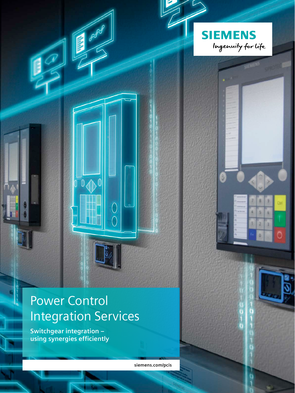

 $\overline{0}$ 

 $\sqrt{ }$ 

 $\overline{C}$ 

 $\bigcap$ 

 $\beta^{\prime\prime}$ 

**Switchgear integration – using synergies efficiently**

**siemens.com/pcis** 

**SIEMENS** 

Ingenuity for Life

š

۵

š  $\overline{\mathbf{5}}$ ×

x z ä

 $\frac{0}{1}$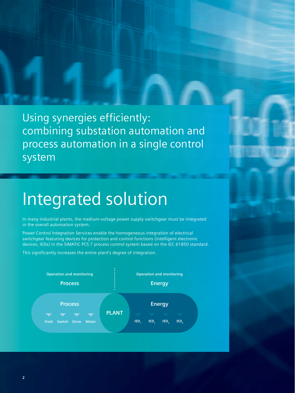Using synergies efficiently: combining substation automation and process automation in a single control system

# Integrated solution

In many industrial plants, the medium-voltage power supply switchgear must be integrated in the overall automation system.

Power Control Integration Services enable the homogeneous integration of electrical switchgear featuring devices for protection and control functions (intelligent electronic devices, IEDs) in the SIMATIC PCS 7 process control system based on the IEC 61850 standard.

This significantly increases the entire plant's degree of integration.

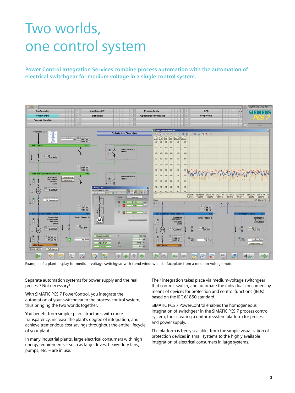## Two worlds, one control system

**Power Control Integration Services combine process automation with the automation of electrical switchgear for medium voltage in a single control system.**



Example of a plant display for medium-voltage switchgear with trend window and a faceplate from a medium-voltage motor

Separate automation systems for power supply and the real process? Not necessary!

With SIMATIC PCS 7 PowerControl, you integrate the automation of your switchgear in the process control system, thus bringing the two worlds together.

You benefit from simpler plant structures with more transparency, increase the plant's degree of integration, and achieve tremendous cost savings throughout the entire lifecycle of your plant.

In many industrial plants, large electrical consumers with high energy requirements – such as large drives, heavy-duty fans, pumps, etc. – are in use.

Their integration takes place via medium-voltage switchgear that control, switch, and automate the individual consumers by means of devices for protection and control functions (IEDs) based on the IEC 61850 standard.

SIMATIC PCS 7 PowerControl enables the homogeneous integration of switchgear in the SIMATIC PCS 7 process control system, thus creating a uniform system platform for process and power supply.

The platform is freely scalable, from the simple visualization of protection devices in small systems to the highly available integration of electrical consumers in large systems.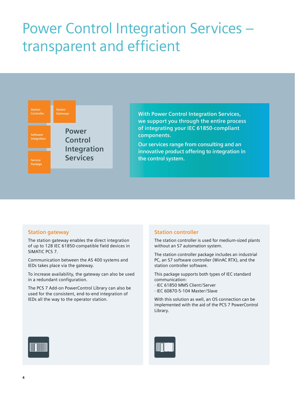## Power Control Integration Services – transparent and efficient



**With Power Control Integration Services, we support you through the entire process of integrating your IEC 61850-compliant components.**

**Our services range from consulting and an innovative product offering to integration in the control system.**

#### **Station gateway**

The station gateway enables the direct integration of up to 128 IEC 61850-compatible field devices in SIMATIC PCS 7.

Communication between the AS 400 systems and IEDs takes place via the gateway.

To increase availability, the gateway can also be used in a redundant configuration.

The PCS 7 Add-on PowerControl Library can also be used for the consistent, end-to-end integration of IEDs all the way to the operator station.

#### **Station controller**

The station controller is used for medium-sized plants without an S7 automation system.

The station controller package includes an industrial PC, an S7 software controller (WinAC RTX), and the station controller software.

This package supports both types of IEC standard communication:

- · IEC 61850 MMS Client/ Server
- · IEC 60870-5-104 Master/ Slave

With this solution as well, an OS connection can be implemented with the aid of the PCS 7 PowerControl Library.



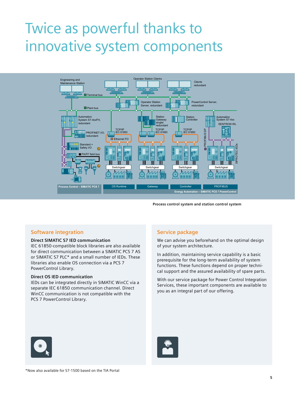### Twice as powerful thanks to innovative system components



**Process control system and station control system**

#### **Software integration**

#### **Direct SIMATIC S7 IED communication**

IEC 61850-compatible block libraries are also available for direct communication between a SIMATIC PCS 7 AS or SIMATIC S7 PLC\* and a small number of IEDs. These libraries also enable OS connection via a PCS 7 PowerControl Library.

#### **Direct OS IED communication**

IEDs can be integrated directly in SIMATIC WinCC via a separate IEC 61850 communication channel. Direct WinCC communication is not compatible with the PCS 7 PowerControl Library.

#### **Service package**

We can advise you beforehand on the optimal design of your system architecture.

In addition, maintaining service capability is a basic prerequisite for the long-term availability of system functions. These functions depend on proper technical support and the assured availability of spare parts.

With our service package for Power Control Integration Services, these important components are available to you as an integral part of our offering.



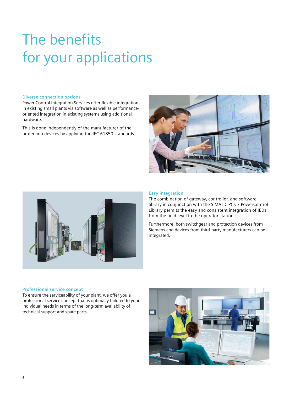# The benefits for your applications

#### **Diverse connection options**

Power Control Integration Services offer flexible integration in existing small plants via software as well as performanceoriented integration in existing systems using additional hardware.

This is done independently of the manufacturer of the protection devices by applying the IEC 61850 standards.





#### **Easy integration**

The combination of gateway, controller, and software library in conjunction with the SIMATIC PCS 7 PowerControl Library permits the easy and consistent integration of IEDs from the field level to the operator station.

Furthermore, both switchgear and protection devices from Siemens and devices from third-party manufacturers can be integrated.

#### **Professional service concept**

To ensure the serviceability of your plant, we offer you a professional service concept that is optimally tailored to your individual needs in terms of the long-term availability of technical support and spare parts.

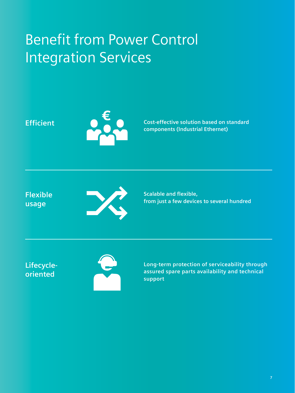## Benefit from Power Control Integration Services